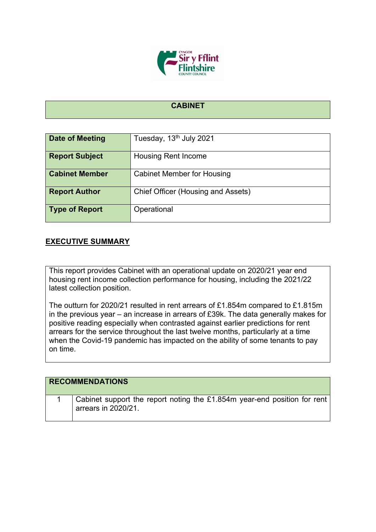

## **CABINET**

| Date of Meeting       | Tuesday, 13 <sup>th</sup> July 2021 |
|-----------------------|-------------------------------------|
| <b>Report Subject</b> | <b>Housing Rent Income</b>          |
| <b>Cabinet Member</b> | <b>Cabinet Member for Housing</b>   |
| <b>Report Author</b>  | Chief Officer (Housing and Assets)  |
| <b>Type of Report</b> | Operational                         |

## **EXECUTIVE SUMMARY**

This report provides Cabinet with an operational update on 2020/21 year end housing rent income collection performance for housing, including the 2021/22 latest collection position.

The outturn for 2020/21 resulted in rent arrears of £1.854m compared to £1.815m in the previous year – an increase in arrears of £39k. The data generally makes for positive reading especially when contrasted against earlier predictions for rent arrears for the service throughout the last twelve months, particularly at a time when the Covid-19 pandemic has impacted on the ability of some tenants to pay on time.

| <b>RECOMMENDATIONS</b>                                                                          |
|-------------------------------------------------------------------------------------------------|
| Cabinet support the report noting the £1.854m year-end position for rent<br>arrears in 2020/21. |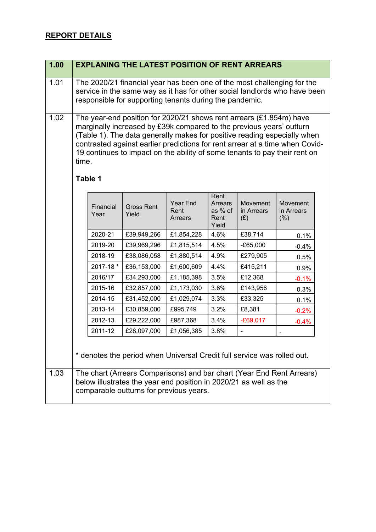## **REPORT DETAILS**

| 1.00 |                                                                                                                                                                                                                                                                                                                                                                                                | <b>EXPLANING THE LATEST POSITION OF RENT ARREARS</b>                                                         |                                    |                                                    |                               |                               |
|------|------------------------------------------------------------------------------------------------------------------------------------------------------------------------------------------------------------------------------------------------------------------------------------------------------------------------------------------------------------------------------------------------|--------------------------------------------------------------------------------------------------------------|------------------------------------|----------------------------------------------------|-------------------------------|-------------------------------|
| 1.01 | The 2020/21 financial year has been one of the most challenging for the<br>service in the same way as it has for other social landlords who have been<br>responsible for supporting tenants during the pandemic.                                                                                                                                                                               |                                                                                                              |                                    |                                                    |                               |                               |
| 1.02 | The year-end position for 2020/21 shows rent arrears (£1.854m) have<br>marginally increased by £39k compared to the previous years' outturn<br>(Table 1). The data generally makes for positive reading especially when<br>contrasted against earlier predictions for rent arrear at a time when Covid-<br>19 continues to impact on the ability of some tenants to pay their rent on<br>time. |                                                                                                              |                                    |                                                    |                               |                               |
|      | Table 1                                                                                                                                                                                                                                                                                                                                                                                        |                                                                                                              |                                    |                                                    |                               |                               |
|      | Financial<br>Year                                                                                                                                                                                                                                                                                                                                                                              | <b>Gross Rent</b><br>Yield                                                                                   | <b>Year End</b><br>Rent<br>Arrears | Rent<br><b>Arrears</b><br>as % of<br>Rent<br>Yield | Movement<br>in Arrears<br>(E) | Movement<br>in Arrears<br>(%) |
|      | 2020-21                                                                                                                                                                                                                                                                                                                                                                                        | £39,949,266                                                                                                  | £1,854,228                         | 4.6%                                               | £38,714                       | 0.1%                          |
|      | 2019-20                                                                                                                                                                                                                                                                                                                                                                                        | £39,969,296                                                                                                  | £1,815,514                         | 4.5%                                               | $-E65,000$                    | $-0.4%$                       |
|      | 2018-19                                                                                                                                                                                                                                                                                                                                                                                        | £38,086,058                                                                                                  | £1,880,514                         | 4.9%                                               | £279,905                      | 0.5%                          |
|      | 2017-18 *                                                                                                                                                                                                                                                                                                                                                                                      | £36,153,000                                                                                                  | £1,600,609                         | 4.4%                                               | £415,211                      | 0.9%                          |
|      | 2016/17                                                                                                                                                                                                                                                                                                                                                                                        | £34,293,000                                                                                                  | £1,185,398                         | 3.5%                                               | £12,368                       | $-0.1%$                       |
|      | 2015-16                                                                                                                                                                                                                                                                                                                                                                                        | £32,857,000                                                                                                  | £1,173,030                         | 3.6%                                               | £143,956                      | 0.3%                          |
|      | 2014-15                                                                                                                                                                                                                                                                                                                                                                                        | £31,452,000                                                                                                  | £1,029,074                         | 3.3%                                               | £33,325                       | 0.1%                          |
|      | 2013-14                                                                                                                                                                                                                                                                                                                                                                                        | £30,859,000                                                                                                  | £995,749                           | 3.2%                                               | £8,381                        | $-0.2%$                       |
|      | 2012-13                                                                                                                                                                                                                                                                                                                                                                                        | £29,222,000                                                                                                  | £987,368                           | 3.4%                                               | $-E69,017$                    | $-0.4%$                       |
|      | 2011-12                                                                                                                                                                                                                                                                                                                                                                                        | £28,097,000                                                                                                  | £1,056,385                         | 3.8%                                               |                               |                               |
|      | * denotes the period when Universal Credit full service was rolled out.                                                                                                                                                                                                                                                                                                                        |                                                                                                              |                                    |                                                    |                               |                               |
| 1.03 | The chart (Arrears Comparisons) and bar chart (Year End Rent Arrears)                                                                                                                                                                                                                                                                                                                          | below illustrates the year end position in 2020/21 as well as the<br>comparable outturns for previous years. |                                    |                                                    |                               |                               |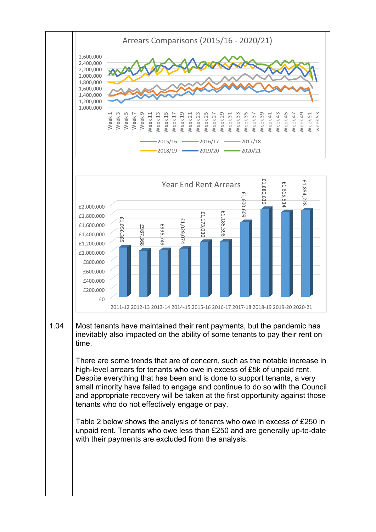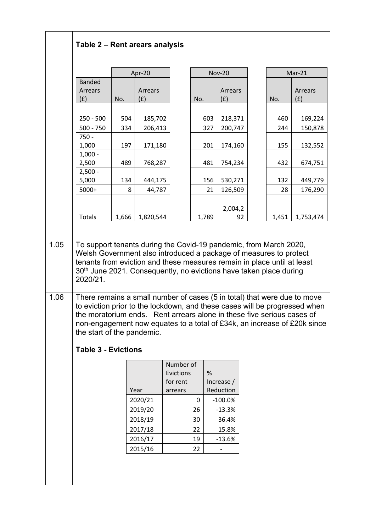|                                                                      |       | Apr-20             |                                                                                                                                                                                                                                                                                                              |       | <b>Nov-20</b>           |       | $Mar-21$       |
|----------------------------------------------------------------------|-------|--------------------|--------------------------------------------------------------------------------------------------------------------------------------------------------------------------------------------------------------------------------------------------------------------------------------------------------------|-------|-------------------------|-------|----------------|
| <b>Banded</b><br>Arrears<br>(f)                                      | No.   | Arrears<br>(f)     | No.                                                                                                                                                                                                                                                                                                          |       | Arrears<br>(f)          | No.   | Arrears<br>(f) |
| $250 - 500$                                                          | 504   | 185,702            |                                                                                                                                                                                                                                                                                                              | 603   | 218,371                 | 460   |                |
| $500 - 750$                                                          | 334   | 206,413            |                                                                                                                                                                                                                                                                                                              | 327   | 200,747                 | 244   |                |
| $750 -$<br>1,000                                                     | 197   | 171,180            |                                                                                                                                                                                                                                                                                                              | 201   | 174,160                 | 155   |                |
| $1,000 -$<br>2,500<br>$2,500 -$                                      | 489   | 768,287            |                                                                                                                                                                                                                                                                                                              | 481   | 754,234                 | 432   |                |
| 5,000                                                                | 134   | 444,175            |                                                                                                                                                                                                                                                                                                              | 156   | 530,271                 | 132   |                |
| 5000+                                                                | 8     | 44,787             |                                                                                                                                                                                                                                                                                                              | 21    | 126,509                 | 28    |                |
| <b>Totals</b>                                                        | 1,666 | 1,820,544          |                                                                                                                                                                                                                                                                                                              | 1,789 | 2,004,2<br>92           | 1,451 |                |
|                                                                      |       |                    | To support tenants during the Covid-19 pandemic, from March 2020,<br>Welsh Government also introduced a package of measures to protect<br>tenants from eviction and these measures remain in place until at least<br>30 <sup>th</sup> June 2021. Consequently, no evictions have taken place during          |       |                         |       |                |
|                                                                      |       |                    | There remains a small number of cases (5 in total) that were due to move<br>to eviction prior to the lockdown, and these cases will be progressed when<br>the moratorium ends. Rent arrears alone in these five serious cases of<br>non-engagement now equates to a total of £34k, an increase of £20k since |       |                         |       |                |
|                                                                      |       |                    |                                                                                                                                                                                                                                                                                                              |       |                         |       |                |
|                                                                      |       | Year               | Number of<br>Evictions<br>for rent<br>arrears                                                                                                                                                                                                                                                                | %     | Increase /<br>Reduction |       |                |
|                                                                      |       | 2020/21            | 0                                                                                                                                                                                                                                                                                                            |       | $-100.0%$               |       |                |
| 2020/21.<br>the start of the pandemic.<br><b>Table 3 - Evictions</b> |       | 2019/20            | 26                                                                                                                                                                                                                                                                                                           |       | $-13.3%$                |       |                |
|                                                                      |       | 2018/19            | 30                                                                                                                                                                                                                                                                                                           |       | 36.4%                   |       |                |
|                                                                      |       | 2017/18<br>2016/17 | 22<br>19                                                                                                                                                                                                                                                                                                     |       | 15.8%<br>$-13.6%$       |       |                |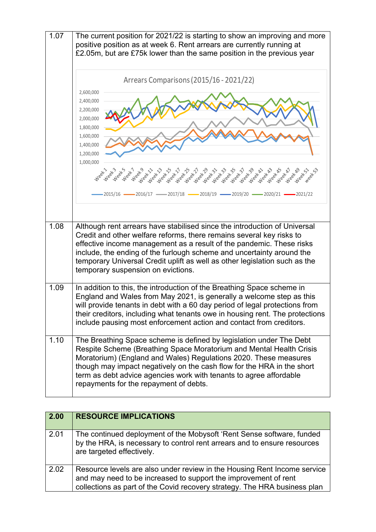

| 2.00 | <b>RESOURCE IMPLICATIONS</b>                                                                                                                                                                                             |
|------|--------------------------------------------------------------------------------------------------------------------------------------------------------------------------------------------------------------------------|
| 2.01 | The continued deployment of the Mobysoft 'Rent Sense software, funded<br>by the HRA, is necessary to control rent arrears and to ensure resources<br>are targeted effectively.                                           |
| 2.02 | Resource levels are also under review in the Housing Rent Income service<br>and may need to be increased to support the improvement of rent<br>collections as part of the Covid recovery strategy. The HRA business plan |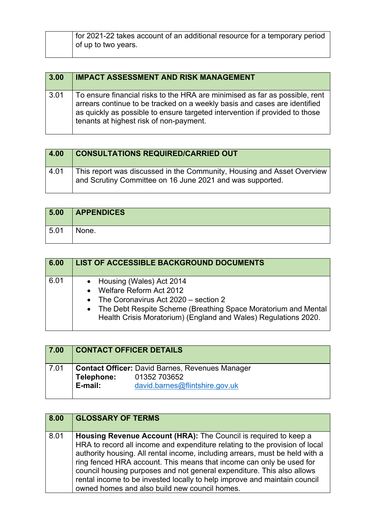| for 2021-22 takes account of an additional resource for a temporary period |
|----------------------------------------------------------------------------|
| of up to two years.                                                        |
|                                                                            |

| 3.00 | <b>IMPACT ASSESSMENT AND RISK MANAGEMENT</b>                                                                                                                                                                                                                                       |
|------|------------------------------------------------------------------------------------------------------------------------------------------------------------------------------------------------------------------------------------------------------------------------------------|
| 3.01 | To ensure financial risks to the HRA are minimised as far as possible, rent<br>arrears continue to be tracked on a weekly basis and cases are identified<br>as quickly as possible to ensure targeted intervention if provided to those<br>tenants at highest risk of non-payment. |

| 4.00 | <b>CONSULTATIONS REQUIRED/CARRIED OUT</b>                                                                                           |
|------|-------------------------------------------------------------------------------------------------------------------------------------|
| 4.01 | This report was discussed in the Community, Housing and Asset Overview<br>and Scrutiny Committee on 16 June 2021 and was supported. |

| 5.00 | <b>APPENDICES</b> |
|------|-------------------|
| 5.01 | None.             |

| 6.00 | LIST OF ACCESSIBLE BACKGROUND DOCUMENTS                                                                                                                                                                                                    |
|------|--------------------------------------------------------------------------------------------------------------------------------------------------------------------------------------------------------------------------------------------|
| 6.01 | • Housing (Wales) Act 2014<br>• Welfare Reform Act 2012<br>• The Coronavirus Act $2020 -$ section 2<br>• The Debt Respite Scheme (Breathing Space Moratorium and Mental<br>Health Crisis Moratorium) (England and Wales) Regulations 2020. |

| 7.00 | <b>CONTACT OFFICER DETAILS</b> |                                                                                                          |
|------|--------------------------------|----------------------------------------------------------------------------------------------------------|
| 7.01 | Telephone:<br>E-mail:          | <b>Contact Officer: David Barnes, Revenues Manager</b><br>01352 703652<br>david.barnes@flintshire.gov.uk |

| 8.00 | <b>GLOSSARY OF TERMS</b>                                                                                                                                                                                                                                                                                                                                                                                                                                                                                        |
|------|-----------------------------------------------------------------------------------------------------------------------------------------------------------------------------------------------------------------------------------------------------------------------------------------------------------------------------------------------------------------------------------------------------------------------------------------------------------------------------------------------------------------|
| 8.01 | Housing Revenue Account (HRA): The Council is required to keep a<br>HRA to record all income and expenditure relating to the provision of local<br>authority housing. All rental income, including arrears, must be held with a<br>ring fenced HRA account. This means that income can only be used for<br>council housing purposes and not general expenditure. This also allows<br>rental income to be invested locally to help improve and maintain council<br>owned homes and also build new council homes. |